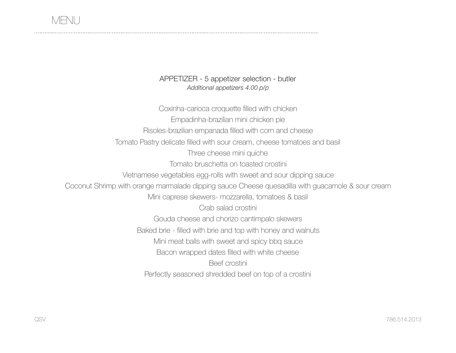APPETIZER - 5 appetizer selection - butler *Additional appetizers 4.00 p/p*

Coxinha-carioca croquette filled with chicken Empadinha-brazilian mini chicken pie Risoles-brazilian empanada filled with corn and cheese Tomato Pastry delicate filled with sour cream, cheese tomatoes and basil Three cheese mini quiche Tomato bruschetta on toasted crostini Vietnamese vegetables egg-rolls with sweet and sour dipping sauce Coconut Shrimp with orange marmalade dipping sauce Cheese quesadilla with guacamole & sour cream Mini caprese skewers- mozzarella, tomatoes & basil Crab salad crostini Gouda cheese and chorizo cantimpalo skewers Baked brie - filled with brie and top with honey and walnuts Mini meat balls with sweet and spicy bbq sauce Bacon wrapped dates filled with white cheese Beef crostini Perfectly seasoned shredded beef on top of a crostini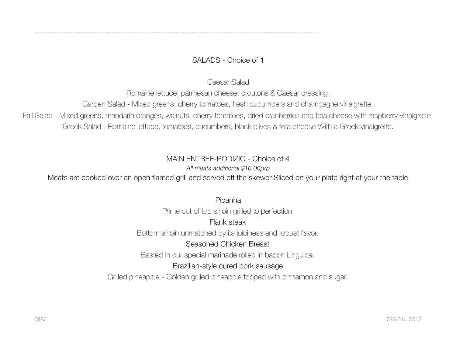# SALADS - Choice of 1

Caesar Salad

Romaine lettuce, parmesan cheese, croutons & Caesar dressing.

Garden Salad - Mixed greens, cherry tomatoes, fresh cucumbers and champagne vinaigrette.

Fall Salad - Mixed greens, mandarin oranges, walnuts, cherry tomatoes, dried cranberries and feta cheese with raspberry vinaigrette. Greek Salad - Romaine lettuce, tomatoes, cucumbers, black olives & feta cheese With a Greek vinaigrette.

#### MAIN ENTREE-RODIZIO - Choice of 4

*All meats additional \$10.00p/p* 

Meats are cooked over an open flamed grill and served off the skewer Sliced on your plate right at your the table

Picanha

Prime cut of top sirloin grilled to perfection.

## Flank steak

Bottom sirloin unmatched by its juiciness and robust flavor.

## Seasoned Chicken Breast

Basted in our special marinade rolled in bacon Linguica.

## Brazilian-style cured pork sausage

Grilled pineapple - Golden grilled pineapple topped with cinnamon and sugar.